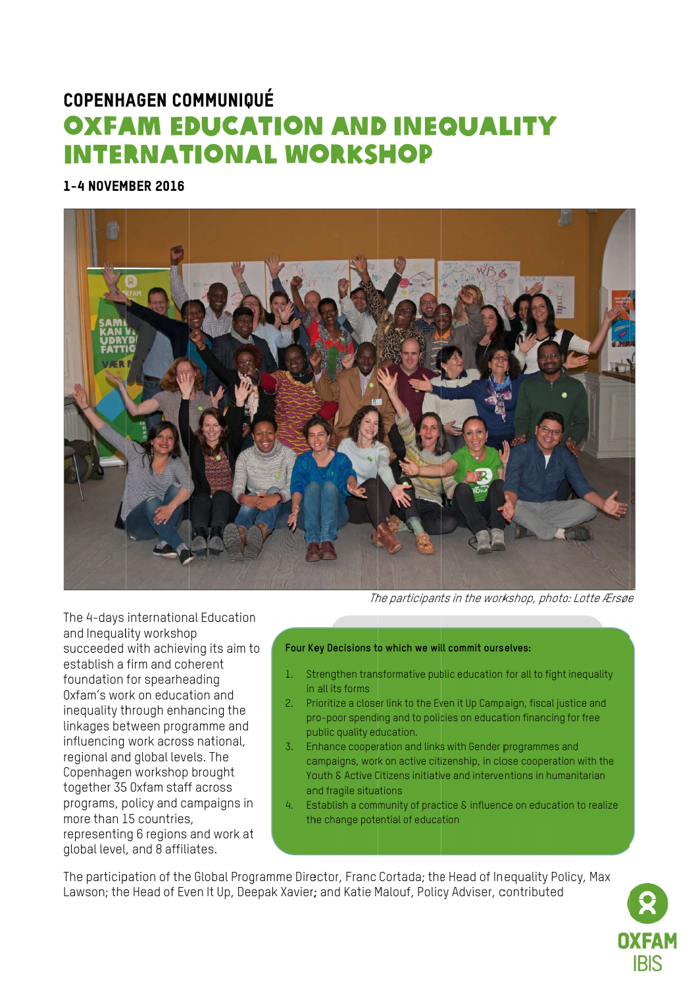## **COPENHAGEN COMMUNIQUÉ OXFAM EDUCATION AND INEQUALITY INTERNATIONAL WORKSHOP**

1-4 NOVEMBER 2016



The participants in the workshop, photo: Lotte Ærsøe

The 4-days international Education and Inequality workshop succeeded with achieving its aim to establish a firm and coherent foundation for spearheading Oxfam's work on education and inequality through enhancing the linkages between programme and influencing work across national, regional and global levels. The Copenhagen workshop brought together 35 0xfam staff across programs, policy and campaigns in more than 15 countries. representing 6 regions and work at global level, and 8 affiliates.

## Four Key Decisions to which we will commit ourselves:

- Strengthen transformative public education for all to fight inequality  $1<sup>2</sup>$ in all its forms
- 2. Prioritize a closer link to the Even it Up Campaign, fiscal justice and pro-poor spending and to policies on education financing for free public quality education.
- 3. Enhance cooperation and links with Gender programmes and campaigns, work on active citizenship, in close cooperation with the Youth & Active Citizens initiative and interventions in humanitarian and fragile situations
- $\overline{4}$ Establish a community of practice & influence on education to realize the change potential of education

The participation of the Global Programme Director, Franc Cortada; the Head of Inequality Policy, Max Lawson; the Head of Even It Up, Deepak Xavier; and Katie Malouf, Policy Adviser, contributed

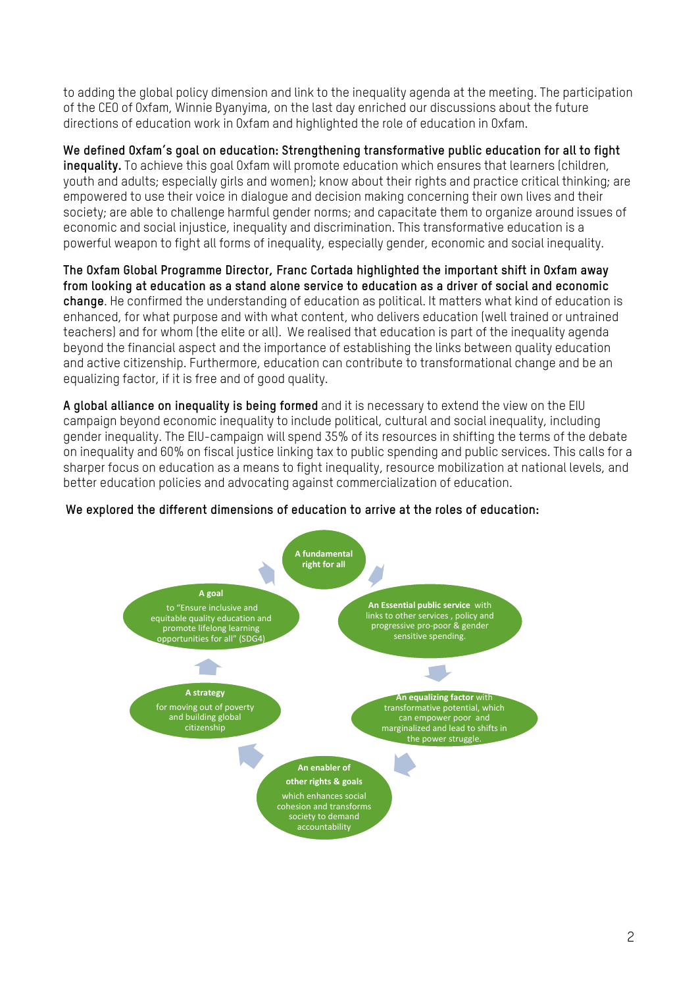to adding the global policy dimension and link to the inequality agenda at the meeting. The participation of the CEO of Oxfam, Winnie Byanyima, on the last day enriched our discussions about the future directions of education work in Oxfam and highlighted the role of education in Oxfam.

**We defined Oxfam's goal on education: Strengthening transformative public education for all to fight inequality.** To achieve this goal Oxfam will promote education which ensures that learners (children, youth and adults; especially girls and women); know about their rights and practice critical thinking; are empowered to use their voice in dialogue and decision making concerning their own lives and their society; are able to challenge harmful gender norms; and capacitate them to organize around issues of economic and social injustice, inequality and discrimination. This transformative education is a powerful weapon to fight all forms of inequality, especially gender, economic and social inequality.

**The Oxfam Global Programme Director, Franc Cortada highlighted the important shift in Oxfam away from looking at education as a stand alone service to education as a driver of social and economic change**. He confirmed the understanding of education as political. It matters what kind of education is enhanced, for what purpose and with what content, who delivers education (well trained or untrained teachers) and for whom (the elite or all). We realised that education is part of the inequality agenda beyond the financial aspect and the importance of establishing the links between quality education and active citizenship. Furthermore, education can contribute to transformational change and be an equalizing factor, if it is free and of good quality.

**A global alliance on inequality is being formed** and it is necessary to extend the view on the EIU campaign beyond economic inequality to include political, cultural and social inequality, including gender inequality. The EIU-campaign will spend 35% of its resources in shifting the terms of the debate on inequality and 60% on fiscal justice linking tax to public spending and public services. This calls for a sharper focus on education as a means to fight inequality, resource mobilization at national levels, and better education policies and advocating against commercialization of education.



## **We explored the different dimensions of education to arrive at the roles of education:**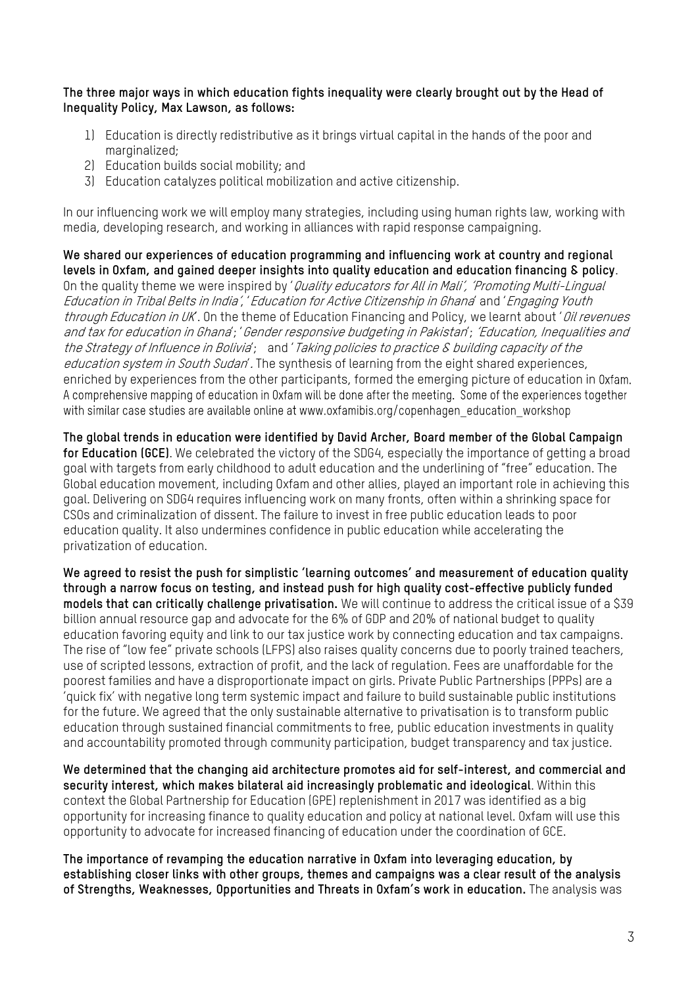**The three major ways in which education fights inequality were clearly brought out by the Head of Inequality Policy, Max Lawson, as follows:**

- 1) Education is directly redistributive as it brings virtual capital in the hands of the poor and marginalized:
- 2) Education builds social mobility; and
- 3) Education catalyzes political mobilization and active citizenship.

In our influencing work we will employ many strategies, including using human rights law, working with media, developing research, and working in alliances with rapid response campaigning.

**We shared our experiences of education programming and influencing work at country and regional levels in Oxfam, and gained deeper insights into quality education and education financing & policy**. On the quality theme we were inspired by '*Quality educators for All in Mali', 'Promoting Multi-Lingual* Education in Tribal Belts in India', 'Education for Active Citizenship in Ghana' and 'Engaging Youth through Education in UK. On the theme of Education Financing and Policy, we learnt about '*Oil revenues* and tax for education in Ghana'; 'Gender responsive budgeting in Pakistan'; 'Education, Inequalities and the Strategy of Influence in Bolivia'; and 'Taking policies to practice & building capacity of the education system in South Sudan'. The synthesis of learning from the eight shared experiences, enriched by experiences from the other participants, formed the emerging picture of education in Oxfam.<br>A comprehensive mapping of education in Oxfam will be done after the meeting. Some of the experiences together with similar case studies are available online at www.oxfamibis.org/copenhagen education workshop

**The global trends in education were identified by David Archer, Board member of the Global Campaign for Education (GCE)**. We celebrated the victory of the SDG4, especially the importance of getting a broad goal with targets from early childhood to adult education and the underlining of "free" education. The Global education movement, including Oxfam and other allies, played an important role in achieving this goal. Delivering on SDG4 requires influencing work on many fronts, often within a shrinking space for CSOs and criminalization of dissent. The failure to invest in free public education leads to poor education quality. It also undermines confidence in public education while accelerating the privatization of education.

**We agreed to resist the push for simplistic 'learning outcomes' and measurement of education quality through a narrow focus on testing, and instead push for high quality cost-effective publicly funded models that can critically challenge privatisation.** We will continue to address the critical issue of a \$39 billion annual resource gap and advocate for the 6% of GDP and 20% of national budget to quality education favoring equity and link to our tax justice work by connecting education and tax campaigns. The rise of "low fee" private schools (LFPS) also raises quality concerns due to poorly trained teachers, use of scripted lessons, extraction of profit, and the lack of regulation. Fees are unaffordable for the poorest families and have a disproportionate impact on girls. Private Public Partnerships (PPPs) are a 'quick fix' with negative long term systemic impact and failure to build sustainable public institutions for the future. We agreed that the only sustainable alternative to privatisation is to transform public education through sustained financial commitments to free, public education investments in quality and accountability promoted through community participation, budget transparency and tax justice.

**We determined that the changing aid architecture promotes aid for self-interest, and commercial and security interest, which makes bilateral aid increasingly problematic and ideological**. Within this context the Global Partnership for Education (GPE) replenishment in 2017 was identified as a big opportunity for increasing finance to quality education and policy at national level. Oxfam will use this opportunity to advocate for increased financing of education under the coordination of GCE.

**The importance of revamping the education narrative in Oxfam into leveraging education, by establishing closer links with other groups, themes and campaigns was a clear result of the analysis of Strengths, Weaknesses, Opportunities and Threats in Oxfam's work in education.** The analysis was